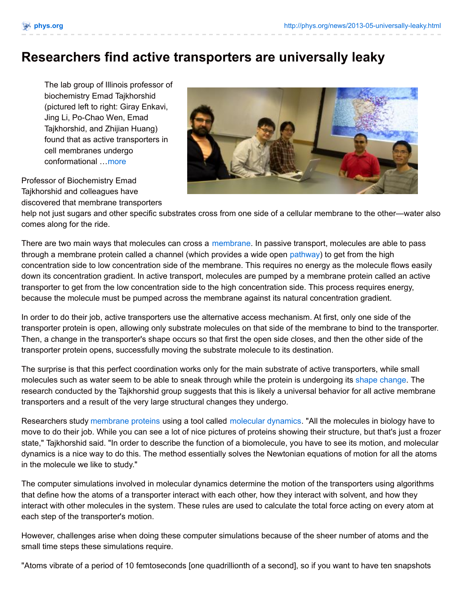## **Researchers find active transporters are universally leaky**

The lab group of Illinois professor of biochemistry Emad Tajkhorshid (pictured left to right: Giray Enkavi, Jing Li, Po-Chao Wen, Emad Tajkhorshid, and Zhijian Huang) found that as active transporters in cell membranes undergo conformational …[more](http://phys.org/news/2013-05-universally-leaky.html)

Professor of Biochemistry Emad Tajkhorshid and colleagues have discovered that membrane transporters



help not just sugars and other specific substrates cross from one side of a cellular membrane to the other—water also comes along for the ride.

There are two main ways that molecules can cross a [membrane](http://phys.org/tags/membrane/). In passive transport, molecules are able to pass through a membrane protein called a channel (which provides a wide open [pathway](http://phys.org/tags/pathway/)) to get from the high concentration side to low concentration side of the membrane. This requires no energy as the molecule flows easily down its concentration gradient. In active transport, molecules are pumped by a membrane protein called an active transporter to get from the low concentration side to the high concentration side. This process requires energy, because the molecule must be pumped across the membrane against its natural concentration gradient.

In order to do their job, active transporters use the alternative access mechanism. At first, only one side of the transporter protein is open, allowing only substrate molecules on that side of the membrane to bind to the transporter. Then, a change in the transporter's shape occurs so that first the open side closes, and then the other side of the transporter protein opens, successfully moving the substrate molecule to its destination.

The surprise is that this perfect coordination works only for the main substrate of active transporters, while small molecules such as water seem to be able to sneak through while the protein is undergoing its shape [change](http://phys.org/tags/shape+change/). The research conducted by the Tajkhorshid group suggests that this is likely a universal behavior for all active membrane transporters and a result of the very large structural changes they undergo.

Researchers study [membrane](http://phys.org/tags/membrane+proteins/) proteins using a tool called [molecular](http://phys.org/tags/molecular+dynamics/) dynamics. "All the molecules in biology have to move to do their job. While you can see a lot of nice pictures of proteins showing their structure, but that's just a frozen state," Tajkhorshid said. "In order to describe the function of a biomolecule, you have to see its motion, and molecular dynamics is a nice way to do this. The method essentially solves the Newtonian equations of motion for all the atoms in the molecule we like to study."

The computer simulations involved in molecular dynamics determine the motion of the transporters using algorithms that define how the atoms of a transporter interact with each other, how they interact with solvent, and how they interact with other molecules in the system. These rules are used to calculate the total force acting on every atom at each step of the transporter's motion.

However, challenges arise when doing these computer simulations because of the sheer number of atoms and the small time steps these simulations require.

"Atoms vibrate of a period of 10 femtoseconds [one quadrillionth of a second], so if you want to have ten snapshots